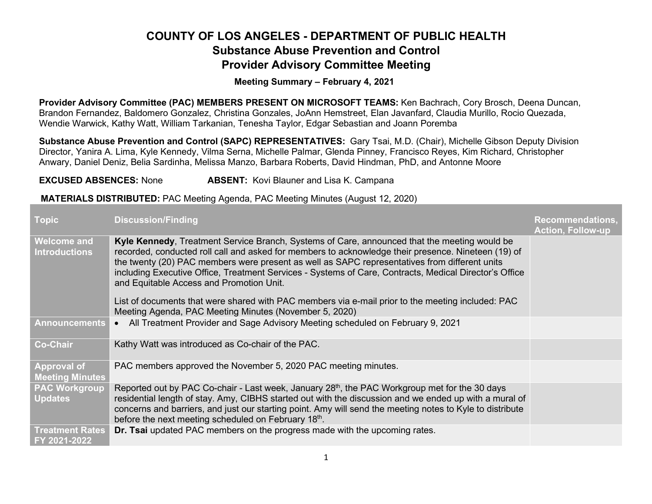## COUNTY OF LOS ANGELES - DEPARTMENT OF PUBLIC HEALTH Substance Abuse Prevention and Control Provider Advisory Committee Meeting

Meeting Summary – February 4, 2021

Provider Advisory Committee (PAC) MEMBERS PRESENT ON MICROSOFT TEAMS: Ken Bachrach, Cory Brosch, Deena Duncan, Brandon Fernandez, Baldomero Gonzalez, Christina Gonzales, JoAnn Hemstreet, Elan Javanfard, Claudia Murillo, Rocio Quezada, Wendie Warwick, Kathy Watt, William Tarkanian, Tenesha Taylor, Edgar Sebastian and Joann Poremba

Substance Abuse Prevention and Control (SAPC) REPRESENTATIVES: Gary Tsai, M.D. (Chair), Michelle Gibson Deputy Division Director, Yanira A. Lima, Kyle Kennedy, Vilma Serna, Michelle Palmar, Glenda Pinney, Francisco Reyes, Kim Richard, Christopher Anwary, Daniel Deniz, Belia Sardinha, Melissa Manzo, Barbara Roberts, David Hindman, PhD, and Antonne Moore

**EXCUSED ABSENCES:** None **ABSENT:** Kovi Blauner and Lisa K. Campana

## MATERIALS DISTRIBUTED: PAC Meeting Agenda, PAC Meeting Minutes (August 12, 2020)

| <b>Topic</b>                                 | <b>Discussion/Finding</b>                                                                                                                                                                                                                                                                                                                                                                                                                                  | <b>Recommendations,</b><br><b>Action, Follow-up</b> |
|----------------------------------------------|------------------------------------------------------------------------------------------------------------------------------------------------------------------------------------------------------------------------------------------------------------------------------------------------------------------------------------------------------------------------------------------------------------------------------------------------------------|-----------------------------------------------------|
| <b>Welcome and</b><br><b>Introductions</b>   | Kyle Kennedy, Treatment Service Branch, Systems of Care, announced that the meeting would be<br>recorded, conducted roll call and asked for members to acknowledge their presence. Nineteen (19) of<br>the twenty (20) PAC members were present as well as SAPC representatives from different units<br>including Executive Office, Treatment Services - Systems of Care, Contracts, Medical Director's Office<br>and Equitable Access and Promotion Unit. |                                                     |
|                                              | List of documents that were shared with PAC members via e-mail prior to the meeting included: PAC<br>Meeting Agenda, PAC Meeting Minutes (November 5, 2020)                                                                                                                                                                                                                                                                                                |                                                     |
| <b>Announcements</b>                         | • All Treatment Provider and Sage Advisory Meeting scheduled on February 9, 2021                                                                                                                                                                                                                                                                                                                                                                           |                                                     |
| <b>Co-Chair</b>                              | Kathy Watt was introduced as Co-chair of the PAC.                                                                                                                                                                                                                                                                                                                                                                                                          |                                                     |
| <b>Approval of</b><br><b>Meeting Minutes</b> | PAC members approved the November 5, 2020 PAC meeting minutes.                                                                                                                                                                                                                                                                                                                                                                                             |                                                     |
| <b>PAC Workgroup</b><br><b>Updates</b>       | Reported out by PAC Co-chair - Last week, January 28 <sup>th</sup> , the PAC Workgroup met for the 30 days<br>residential length of stay. Amy, CIBHS started out with the discussion and we ended up with a mural of<br>concerns and barriers, and just our starting point. Amy will send the meeting notes to Kyle to distribute<br>before the next meeting scheduled on February 18th.                                                                   |                                                     |
| <b>Treatment Rates</b><br>FY 2021-2022       | <b>Dr. Tsai</b> updated PAC members on the progress made with the upcoming rates.                                                                                                                                                                                                                                                                                                                                                                          |                                                     |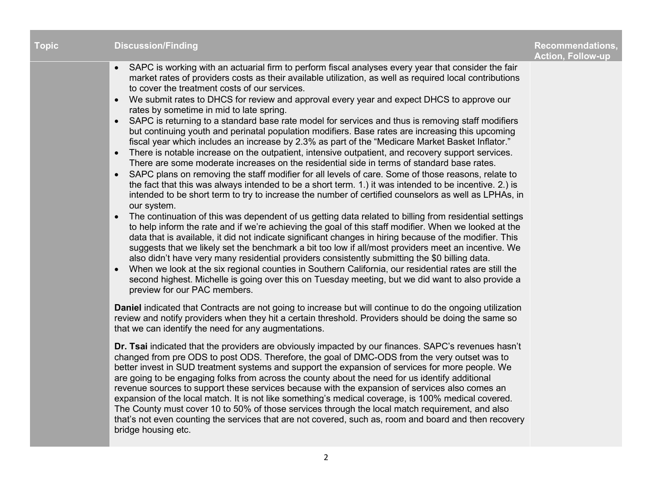| <b>Topic</b> | <b>Discussion/Finding</b>                                                                                                                                                                                                                                                                                                                                                                                                                                                                                                                                                                                                                                                                                                                                                                                                                                                                                                                                                                                                                                                                                                                                                                                                                                                                                                                                                                                                                                                                                                                                                                                                                                                                                                                                                                                                                                                                                                                                                                                                                                                                   | <b>Recommendations,</b><br><b>Action, Follow-up</b> |
|--------------|---------------------------------------------------------------------------------------------------------------------------------------------------------------------------------------------------------------------------------------------------------------------------------------------------------------------------------------------------------------------------------------------------------------------------------------------------------------------------------------------------------------------------------------------------------------------------------------------------------------------------------------------------------------------------------------------------------------------------------------------------------------------------------------------------------------------------------------------------------------------------------------------------------------------------------------------------------------------------------------------------------------------------------------------------------------------------------------------------------------------------------------------------------------------------------------------------------------------------------------------------------------------------------------------------------------------------------------------------------------------------------------------------------------------------------------------------------------------------------------------------------------------------------------------------------------------------------------------------------------------------------------------------------------------------------------------------------------------------------------------------------------------------------------------------------------------------------------------------------------------------------------------------------------------------------------------------------------------------------------------------------------------------------------------------------------------------------------------|-----------------------------------------------------|
|              | SAPC is working with an actuarial firm to perform fiscal analyses every year that consider the fair<br>market rates of providers costs as their available utilization, as well as required local contributions<br>to cover the treatment costs of our services.<br>We submit rates to DHCS for review and approval every year and expect DHCS to approve our<br>rates by sometime in mid to late spring.<br>SAPC is returning to a standard base rate model for services and thus is removing staff modifiers<br>but continuing youth and perinatal population modifiers. Base rates are increasing this upcoming<br>fiscal year which includes an increase by 2.3% as part of the "Medicare Market Basket Inflator."<br>There is notable increase on the outpatient, intensive outpatient, and recovery support services.<br>$\bullet$<br>There are some moderate increases on the residential side in terms of standard base rates.<br>SAPC plans on removing the staff modifier for all levels of care. Some of those reasons, relate to<br>$\bullet$<br>the fact that this was always intended to be a short term. 1.) it was intended to be incentive. 2.) is<br>intended to be short term to try to increase the number of certified counselors as well as LPHAs, in<br>our system.<br>The continuation of this was dependent of us getting data related to billing from residential settings<br>$\bullet$<br>to help inform the rate and if we're achieving the goal of this staff modifier. When we looked at the<br>data that is available, it did not indicate significant changes in hiring because of the modifier. This<br>suggests that we likely set the benchmark a bit too low if all/most providers meet an incentive. We<br>also didn't have very many residential providers consistently submitting the \$0 billing data.<br>When we look at the six regional counties in Southern California, our residential rates are still the<br>second highest. Michelle is going over this on Tuesday meeting, but we did want to also provide a<br>preview for our PAC members. |                                                     |
|              | Daniel indicated that Contracts are not going to increase but will continue to do the ongoing utilization<br>review and notify providers when they hit a certain threshold. Providers should be doing the same so<br>that we can identify the need for any augmentations.                                                                                                                                                                                                                                                                                                                                                                                                                                                                                                                                                                                                                                                                                                                                                                                                                                                                                                                                                                                                                                                                                                                                                                                                                                                                                                                                                                                                                                                                                                                                                                                                                                                                                                                                                                                                                   |                                                     |
|              | Dr. Tsai indicated that the providers are obviously impacted by our finances. SAPC's revenues hasn't<br>changed from pre ODS to post ODS. Therefore, the goal of DMC-ODS from the very outset was to<br>better invest in SUD treatment systems and support the expansion of services for more people. We<br>are going to be engaging folks from across the county about the need for us identify additional<br>revenue sources to support these services because with the expansion of services also comes an<br>expansion of the local match. It is not like something's medical coverage, is 100% medical covered.<br>The County must cover 10 to 50% of those services through the local match requirement, and also<br>that's not even counting the services that are not covered, such as, room and board and then recovery<br>bridge housing etc.                                                                                                                                                                                                                                                                                                                                                                                                                                                                                                                                                                                                                                                                                                                                                                                                                                                                                                                                                                                                                                                                                                                                                                                                                                     |                                                     |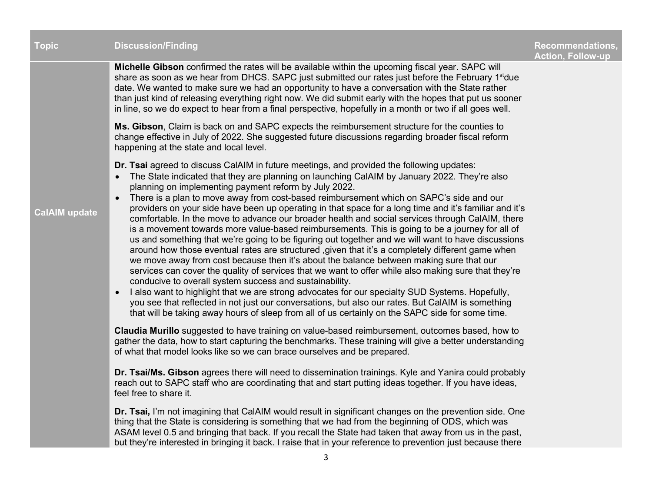| <b>Topic</b>         | <b>Discussion/Finding</b>                                                                                                                                                                                                                                                                                                                                                                                                                                                                                                                                                                                                                                                                                                                                                                                                                                                                                                                                                                                                                                                                                                                                                                                                                                                                                                                                                                                                                                                                                                                                                                                                                                                                                                                                                                                                                                                                                                                                                                                                                                                                                                                                                                                                                                                                                                                                                                                                                                             | <b>Recommendations,</b><br><b>Action, Follow-up</b> |
|----------------------|-----------------------------------------------------------------------------------------------------------------------------------------------------------------------------------------------------------------------------------------------------------------------------------------------------------------------------------------------------------------------------------------------------------------------------------------------------------------------------------------------------------------------------------------------------------------------------------------------------------------------------------------------------------------------------------------------------------------------------------------------------------------------------------------------------------------------------------------------------------------------------------------------------------------------------------------------------------------------------------------------------------------------------------------------------------------------------------------------------------------------------------------------------------------------------------------------------------------------------------------------------------------------------------------------------------------------------------------------------------------------------------------------------------------------------------------------------------------------------------------------------------------------------------------------------------------------------------------------------------------------------------------------------------------------------------------------------------------------------------------------------------------------------------------------------------------------------------------------------------------------------------------------------------------------------------------------------------------------------------------------------------------------------------------------------------------------------------------------------------------------------------------------------------------------------------------------------------------------------------------------------------------------------------------------------------------------------------------------------------------------------------------------------------------------------------------------------------------------|-----------------------------------------------------|
|                      | Michelle Gibson confirmed the rates will be available within the upcoming fiscal year. SAPC will<br>share as soon as we hear from DHCS. SAPC just submitted our rates just before the February 1 <sup>st</sup> due<br>date. We wanted to make sure we had an opportunity to have a conversation with the State rather<br>than just kind of releasing everything right now. We did submit early with the hopes that put us sooner<br>in line, so we do expect to hear from a final perspective, hopefully in a month or two if all goes well.                                                                                                                                                                                                                                                                                                                                                                                                                                                                                                                                                                                                                                                                                                                                                                                                                                                                                                                                                                                                                                                                                                                                                                                                                                                                                                                                                                                                                                                                                                                                                                                                                                                                                                                                                                                                                                                                                                                          |                                                     |
|                      | Ms. Gibson, Claim is back on and SAPC expects the reimbursement structure for the counties to<br>change effective in July of 2022. She suggested future discussions regarding broader fiscal reform<br>happening at the state and local level.                                                                                                                                                                                                                                                                                                                                                                                                                                                                                                                                                                                                                                                                                                                                                                                                                                                                                                                                                                                                                                                                                                                                                                                                                                                                                                                                                                                                                                                                                                                                                                                                                                                                                                                                                                                                                                                                                                                                                                                                                                                                                                                                                                                                                        |                                                     |
| <b>CalAIM update</b> | <b>Dr. Tsai</b> agreed to discuss CalAIM in future meetings, and provided the following updates:<br>The State indicated that they are planning on launching CalAIM by January 2022. They're also<br>$\bullet$<br>planning on implementing payment reform by July 2022.<br>There is a plan to move away from cost-based reimbursement which on SAPC's side and our<br>providers on your side have been up operating in that space for a long time and it's familiar and it's<br>comfortable. In the move to advance our broader health and social services through CalAIM, there<br>is a movement towards more value-based reimbursements. This is going to be a journey for all of<br>us and something that we're going to be figuring out together and we will want to have discussions<br>around how those eventual rates are structured , given that it's a completely different game when<br>we move away from cost because then it's about the balance between making sure that our<br>services can cover the quality of services that we want to offer while also making sure that they're<br>conducive to overall system success and sustainability.<br>I also want to highlight that we are strong advocates for our specialty SUD Systems. Hopefully,<br>$\bullet$<br>you see that reflected in not just our conversations, but also our rates. But CalAIM is something<br>that will be taking away hours of sleep from all of us certainly on the SAPC side for some time.<br>Claudia Murillo suggested to have training on value-based reimbursement, outcomes based, how to<br>gather the data, how to start capturing the benchmarks. These training will give a better understanding<br>of what that model looks like so we can brace ourselves and be prepared.<br>Dr. Tsai/Ms. Gibson agrees there will need to dissemination trainings. Kyle and Yanira could probably<br>reach out to SAPC staff who are coordinating that and start putting ideas together. If you have ideas,<br>feel free to share it.<br>Dr. Tsai, I'm not imagining that CalAIM would result in significant changes on the prevention side. One<br>thing that the State is considering is something that we had from the beginning of ODS, which was<br>ASAM level 0.5 and bringing that back. If you recall the State had taken that away from us in the past,<br>but they're interested in bringing it back. I raise that in your reference to prevention just because there |                                                     |
|                      | 3                                                                                                                                                                                                                                                                                                                                                                                                                                                                                                                                                                                                                                                                                                                                                                                                                                                                                                                                                                                                                                                                                                                                                                                                                                                                                                                                                                                                                                                                                                                                                                                                                                                                                                                                                                                                                                                                                                                                                                                                                                                                                                                                                                                                                                                                                                                                                                                                                                                                     |                                                     |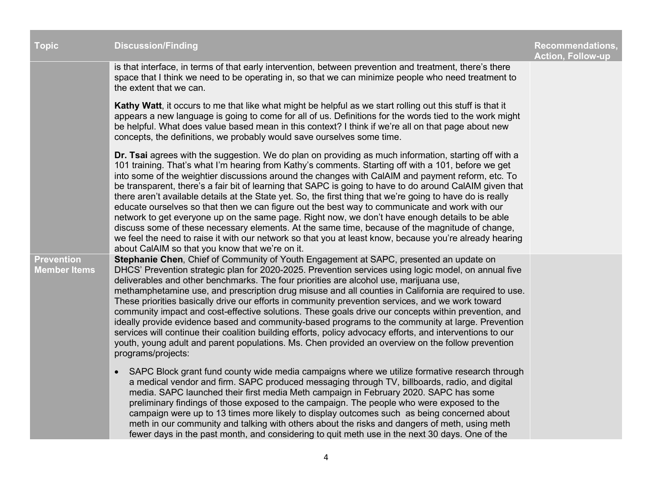| <b>Topic</b>                             | <b>Discussion/Finding</b>                                                                                                                                                                                                                                                                                                                                                                                                                                                                                                                                                                                                                                                                                                                                                                                                                                                                                                                                                                                         | <b>Recommendations,</b><br><b>Action, Follow-up</b> |
|------------------------------------------|-------------------------------------------------------------------------------------------------------------------------------------------------------------------------------------------------------------------------------------------------------------------------------------------------------------------------------------------------------------------------------------------------------------------------------------------------------------------------------------------------------------------------------------------------------------------------------------------------------------------------------------------------------------------------------------------------------------------------------------------------------------------------------------------------------------------------------------------------------------------------------------------------------------------------------------------------------------------------------------------------------------------|-----------------------------------------------------|
|                                          | is that interface, in terms of that early intervention, between prevention and treatment, there's there<br>space that I think we need to be operating in, so that we can minimize people who need treatment to<br>the extent that we can.                                                                                                                                                                                                                                                                                                                                                                                                                                                                                                                                                                                                                                                                                                                                                                         |                                                     |
|                                          | Kathy Watt, it occurs to me that like what might be helpful as we start rolling out this stuff is that it<br>appears a new language is going to come for all of us. Definitions for the words tied to the work might<br>be helpful. What does value based mean in this context? I think if we're all on that page about new<br>concepts, the definitions, we probably would save ourselves some time.                                                                                                                                                                                                                                                                                                                                                                                                                                                                                                                                                                                                             |                                                     |
|                                          | Dr. Tsai agrees with the suggestion. We do plan on providing as much information, starting off with a<br>101 training. That's what I'm hearing from Kathy's comments. Starting off with a 101, before we get<br>into some of the weightier discussions around the changes with CalAIM and payment reform, etc. To<br>be transparent, there's a fair bit of learning that SAPC is going to have to do around CalAIM given that<br>there aren't available details at the State yet. So, the first thing that we're going to have do is really<br>educate ourselves so that then we can figure out the best way to communicate and work with our<br>network to get everyone up on the same page. Right now, we don't have enough details to be able<br>discuss some of these necessary elements. At the same time, because of the magnitude of change,<br>we feel the need to raise it with our network so that you at least know, because you're already hearing<br>about CalAIM so that you know that we're on it. |                                                     |
| <b>Prevention</b><br><b>Member Items</b> | Stephanie Chen, Chief of Community of Youth Engagement at SAPC, presented an update on<br>DHCS' Prevention strategic plan for 2020-2025. Prevention services using logic model, on annual five<br>deliverables and other benchmarks. The four priorities are alcohol use, marijuana use,<br>methamphetamine use, and prescription drug misuse and all counties in California are required to use.<br>These priorities basically drive our efforts in community prevention services, and we work toward<br>community impact and cost-effective solutions. These goals drive our concepts within prevention, and<br>ideally provide evidence based and community-based programs to the community at large. Prevention<br>services will continue their coalition building efforts, policy advocacy efforts, and interventions to our<br>youth, young adult and parent populations. Ms. Chen provided an overview on the follow prevention<br>programs/projects:                                                      |                                                     |
|                                          | SAPC Block grant fund county wide media campaigns where we utilize formative research through<br>$\bullet$<br>a medical vendor and firm. SAPC produced messaging through TV, billboards, radio, and digital<br>media. SAPC launched their first media Meth campaign in February 2020. SAPC has some<br>preliminary findings of those exposed to the campaign. The people who were exposed to the<br>campaign were up to 13 times more likely to display outcomes such as being concerned about<br>meth in our community and talking with others about the risks and dangers of meth, using meth<br>fewer days in the past month, and considering to quit meth use in the next 30 days. One of the                                                                                                                                                                                                                                                                                                                 |                                                     |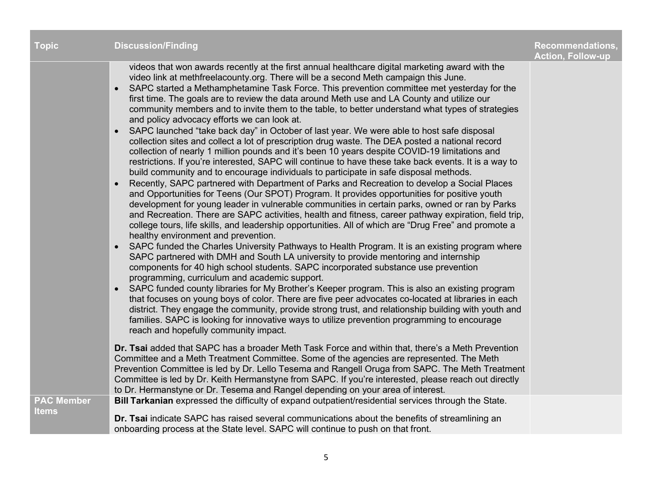| <b>Topic</b>                      | <b>Discussion/Finding</b>                                                                                                                                                                                                                                                                                                                                                                                                                                                                                                                                                                                                                                                                                                                                                                                                                                                                                                                                                                                                                                                                                                                                                                                                                                                                                                                                                                                                                                                                                                                                                                                                                                                                                                                                                                                                                                                                                                                                                                                                                                                                                                                                                                                                                                                                                                                                                                                                                                  | <b>Recommendations,</b><br><b>Action, Follow-up</b> |
|-----------------------------------|------------------------------------------------------------------------------------------------------------------------------------------------------------------------------------------------------------------------------------------------------------------------------------------------------------------------------------------------------------------------------------------------------------------------------------------------------------------------------------------------------------------------------------------------------------------------------------------------------------------------------------------------------------------------------------------------------------------------------------------------------------------------------------------------------------------------------------------------------------------------------------------------------------------------------------------------------------------------------------------------------------------------------------------------------------------------------------------------------------------------------------------------------------------------------------------------------------------------------------------------------------------------------------------------------------------------------------------------------------------------------------------------------------------------------------------------------------------------------------------------------------------------------------------------------------------------------------------------------------------------------------------------------------------------------------------------------------------------------------------------------------------------------------------------------------------------------------------------------------------------------------------------------------------------------------------------------------------------------------------------------------------------------------------------------------------------------------------------------------------------------------------------------------------------------------------------------------------------------------------------------------------------------------------------------------------------------------------------------------------------------------------------------------------------------------------------------------|-----------------------------------------------------|
|                                   | videos that won awards recently at the first annual healthcare digital marketing award with the<br>video link at methfreelacounty.org. There will be a second Meth campaign this June.<br>SAPC started a Methamphetamine Task Force. This prevention committee met yesterday for the<br>$\bullet$<br>first time. The goals are to review the data around Meth use and LA County and utilize our<br>community members and to invite them to the table, to better understand what types of strategies<br>and policy advocacy efforts we can look at.<br>SAPC launched "take back day" in October of last year. We were able to host safe disposal<br>$\bullet$<br>collection sites and collect a lot of prescription drug waste. The DEA posted a national record<br>collection of nearly 1 million pounds and it's been 10 years despite COVID-19 limitations and<br>restrictions. If you're interested, SAPC will continue to have these take back events. It is a way to<br>build community and to encourage individuals to participate in safe disposal methods.<br>Recently, SAPC partnered with Department of Parks and Recreation to develop a Social Places<br>$\bullet$<br>and Opportunities for Teens (Our SPOT) Program. It provides opportunities for positive youth<br>development for young leader in vulnerable communities in certain parks, owned or ran by Parks<br>and Recreation. There are SAPC activities, health and fitness, career pathway expiration, field trip,<br>college tours, life skills, and leadership opportunities. All of which are "Drug Free" and promote a<br>healthy environment and prevention.<br>SAPC funded the Charles University Pathways to Health Program. It is an existing program where<br>$\bullet$<br>SAPC partnered with DMH and South LA university to provide mentoring and internship<br>components for 40 high school students. SAPC incorporated substance use prevention<br>programming, curriculum and academic support.<br>SAPC funded county libraries for My Brother's Keeper program. This is also an existing program<br>$\bullet$<br>that focuses on young boys of color. There are five peer advocates co-located at libraries in each<br>district. They engage the community, provide strong trust, and relationship building with youth and<br>families. SAPC is looking for innovative ways to utilize prevention programming to encourage<br>reach and hopefully community impact. |                                                     |
|                                   | Dr. Tsai added that SAPC has a broader Meth Task Force and within that, there's a Meth Prevention<br>Committee and a Meth Treatment Committee. Some of the agencies are represented. The Meth<br>Prevention Committee is led by Dr. Lello Tesema and Rangell Oruga from SAPC. The Meth Treatment<br>Committee is led by Dr. Keith Hermanstyne from SAPC. If you're interested, please reach out directly<br>to Dr. Hermanstyne or Dr. Tesema and Rangel depending on your area of interest.                                                                                                                                                                                                                                                                                                                                                                                                                                                                                                                                                                                                                                                                                                                                                                                                                                                                                                                                                                                                                                                                                                                                                                                                                                                                                                                                                                                                                                                                                                                                                                                                                                                                                                                                                                                                                                                                                                                                                                |                                                     |
| <b>PAC Member</b><br><b>Items</b> | Bill Tarkanian expressed the difficulty of expand outpatient/residential services through the State.<br>Dr. Tsai indicate SAPC has raised several communications about the benefits of streamlining an<br>onboarding process at the State level. SAPC will continue to push on that front.                                                                                                                                                                                                                                                                                                                                                                                                                                                                                                                                                                                                                                                                                                                                                                                                                                                                                                                                                                                                                                                                                                                                                                                                                                                                                                                                                                                                                                                                                                                                                                                                                                                                                                                                                                                                                                                                                                                                                                                                                                                                                                                                                                 |                                                     |
|                                   |                                                                                                                                                                                                                                                                                                                                                                                                                                                                                                                                                                                                                                                                                                                                                                                                                                                                                                                                                                                                                                                                                                                                                                                                                                                                                                                                                                                                                                                                                                                                                                                                                                                                                                                                                                                                                                                                                                                                                                                                                                                                                                                                                                                                                                                                                                                                                                                                                                                            |                                                     |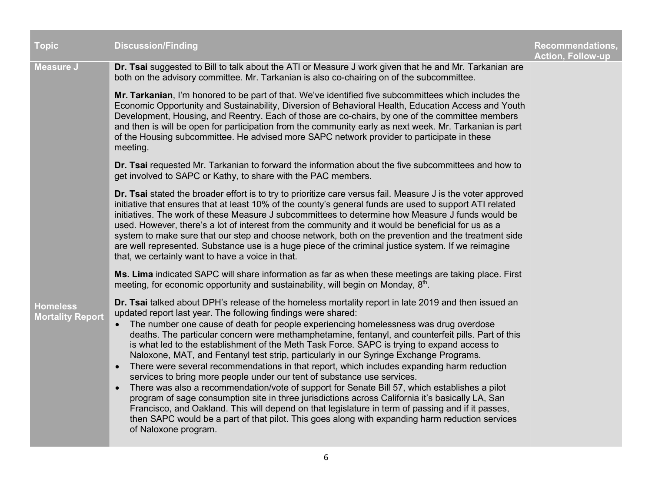| <b>Topic</b>                               | <b>Discussion/Finding</b>                                                                                                                                                                                                                                                                                                                                                                                                                                                                                                                                                                                                                                                                                                                                                                                                                                                                                                                                                                                                                                                                                                                                                                            | <b>Recommendations,</b><br><b>Action, Follow-up</b> |
|--------------------------------------------|------------------------------------------------------------------------------------------------------------------------------------------------------------------------------------------------------------------------------------------------------------------------------------------------------------------------------------------------------------------------------------------------------------------------------------------------------------------------------------------------------------------------------------------------------------------------------------------------------------------------------------------------------------------------------------------------------------------------------------------------------------------------------------------------------------------------------------------------------------------------------------------------------------------------------------------------------------------------------------------------------------------------------------------------------------------------------------------------------------------------------------------------------------------------------------------------------|-----------------------------------------------------|
| <b>Measure J</b>                           | Dr. Tsai suggested to Bill to talk about the ATI or Measure J work given that he and Mr. Tarkanian are<br>both on the advisory committee. Mr. Tarkanian is also co-chairing on of the subcommittee.                                                                                                                                                                                                                                                                                                                                                                                                                                                                                                                                                                                                                                                                                                                                                                                                                                                                                                                                                                                                  |                                                     |
|                                            | Mr. Tarkanian, I'm honored to be part of that. We've identified five subcommittees which includes the<br>Economic Opportunity and Sustainability, Diversion of Behavioral Health, Education Access and Youth<br>Development, Housing, and Reentry. Each of those are co-chairs, by one of the committee members<br>and then is will be open for participation from the community early as next week. Mr. Tarkanian is part<br>of the Housing subcommittee. He advised more SAPC network provider to participate in these<br>meeting.                                                                                                                                                                                                                                                                                                                                                                                                                                                                                                                                                                                                                                                                 |                                                     |
|                                            | Dr. Tsai requested Mr. Tarkanian to forward the information about the five subcommittees and how to<br>get involved to SAPC or Kathy, to share with the PAC members.                                                                                                                                                                                                                                                                                                                                                                                                                                                                                                                                                                                                                                                                                                                                                                                                                                                                                                                                                                                                                                 |                                                     |
|                                            | Dr. Tsai stated the broader effort is to try to prioritize care versus fail. Measure J is the voter approved<br>initiative that ensures that at least 10% of the county's general funds are used to support ATI related<br>initiatives. The work of these Measure J subcommittees to determine how Measure J funds would be<br>used. However, there's a lot of interest from the community and it would be beneficial for us as a<br>system to make sure that our step and choose network, both on the prevention and the treatment side<br>are well represented. Substance use is a huge piece of the criminal justice system. If we reimagine<br>that, we certainly want to have a voice in that.                                                                                                                                                                                                                                                                                                                                                                                                                                                                                                  |                                                     |
|                                            | Ms. Lima indicated SAPC will share information as far as when these meetings are taking place. First<br>meeting, for economic opportunity and sustainability, will begin on Monday, 8th.                                                                                                                                                                                                                                                                                                                                                                                                                                                                                                                                                                                                                                                                                                                                                                                                                                                                                                                                                                                                             |                                                     |
| <b>Homeless</b><br><b>Mortality Report</b> | Dr. Tsai talked about DPH's release of the homeless mortality report in late 2019 and then issued an<br>updated report last year. The following findings were shared:<br>The number one cause of death for people experiencing homelessness was drug overdose<br>$\bullet$<br>deaths. The particular concern were methamphetamine, fentanyl, and counterfeit pills. Part of this<br>is what led to the establishment of the Meth Task Force. SAPC is trying to expand access to<br>Naloxone, MAT, and Fentanyl test strip, particularly in our Syringe Exchange Programs.<br>There were several recommendations in that report, which includes expanding harm reduction<br>$\bullet$<br>services to bring more people under our tent of substance use services.<br>There was also a recommendation/vote of support for Senate Bill 57, which establishes a pilot<br>program of sage consumption site in three jurisdictions across California it's basically LA, San<br>Francisco, and Oakland. This will depend on that legislature in term of passing and if it passes,<br>then SAPC would be a part of that pilot. This goes along with expanding harm reduction services<br>of Naloxone program. |                                                     |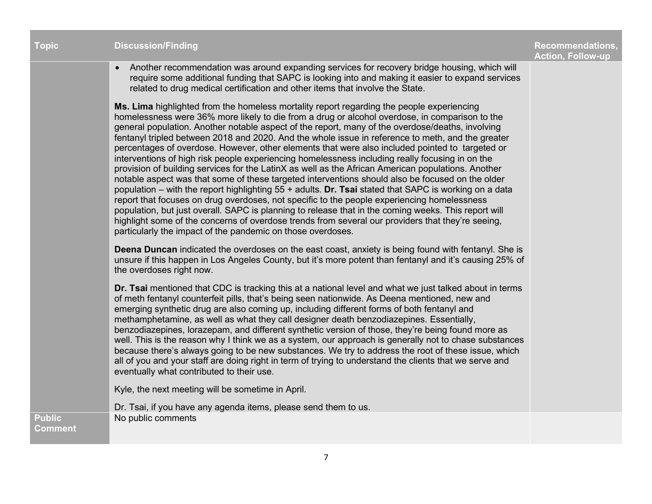| <b>Topic</b>   | <b>Discussion/Finding</b>                                                                                                                                                                                                                                                                                                                                                                                                                                                                                                                                                                                                                                                                                                                                                                                                                                                                                                                                                                                                                                                                                                                                                                                                                                                                                  | <b>Recommendations,</b><br><b>Action, Follow-up</b> |
|----------------|------------------------------------------------------------------------------------------------------------------------------------------------------------------------------------------------------------------------------------------------------------------------------------------------------------------------------------------------------------------------------------------------------------------------------------------------------------------------------------------------------------------------------------------------------------------------------------------------------------------------------------------------------------------------------------------------------------------------------------------------------------------------------------------------------------------------------------------------------------------------------------------------------------------------------------------------------------------------------------------------------------------------------------------------------------------------------------------------------------------------------------------------------------------------------------------------------------------------------------------------------------------------------------------------------------|-----------------------------------------------------|
|                | Another recommendation was around expanding services for recovery bridge housing, which will<br>$\bullet$<br>require some additional funding that SAPC is looking into and making it easier to expand services<br>related to drug medical certification and other items that involve the State.                                                                                                                                                                                                                                                                                                                                                                                                                                                                                                                                                                                                                                                                                                                                                                                                                                                                                                                                                                                                            |                                                     |
|                | Ms. Lima highlighted from the homeless mortality report regarding the people experiencing<br>homelessness were 36% more likely to die from a drug or alcohol overdose, in comparison to the<br>general population. Another notable aspect of the report, many of the overdose/deaths, involving<br>fentanyl tripled between 2018 and 2020. And the whole issue in reference to meth, and the greater<br>percentages of overdose. However, other elements that were also included pointed to targeted or<br>interventions of high risk people experiencing homelessness including really focusing in on the<br>provision of building services for the LatinX as well as the African American populations. Another<br>notable aspect was that some of these targeted interventions should also be focused on the older<br>population – with the report highlighting $55 +$ adults. Dr. Tsai stated that SAPC is working on a data<br>report that focuses on drug overdoses, not specific to the people experiencing homelessness<br>population, but just overall. SAPC is planning to release that in the coming weeks. This report will<br>highlight some of the concerns of overdose trends from several our providers that they're seeing,<br>particularly the impact of the pandemic on those overdoses. |                                                     |
|                | Deena Duncan indicated the overdoses on the east coast, anxiety is being found with fentanyl. She is<br>unsure if this happen in Los Angeles County, but it's more potent than fentanyl and it's causing 25% of<br>the overdoses right now.                                                                                                                                                                                                                                                                                                                                                                                                                                                                                                                                                                                                                                                                                                                                                                                                                                                                                                                                                                                                                                                                |                                                     |
|                | Dr. Tsai mentioned that CDC is tracking this at a national level and what we just talked about in terms<br>of meth fentanyl counterfeit pills, that's being seen nationwide. As Deena mentioned, new and<br>emerging synthetic drug are also coming up, including different forms of both fentanyl and<br>methamphetamine, as well as what they call designer death benzodiazepines. Essentially,<br>benzodiazepines, lorazepam, and different synthetic version of those, they're being found more as<br>well. This is the reason why I think we as a system, our approach is generally not to chase substances<br>because there's always going to be new substances. We try to address the root of these issue, which<br>all of you and your staff are doing right in term of trying to understand the clients that we serve and<br>eventually what contributed to their use.                                                                                                                                                                                                                                                                                                                                                                                                                            |                                                     |
|                | Kyle, the next meeting will be sometime in April.                                                                                                                                                                                                                                                                                                                                                                                                                                                                                                                                                                                                                                                                                                                                                                                                                                                                                                                                                                                                                                                                                                                                                                                                                                                          |                                                     |
| <b>Public</b>  | Dr. Tsai, if you have any agenda items, please send them to us.<br>No public comments                                                                                                                                                                                                                                                                                                                                                                                                                                                                                                                                                                                                                                                                                                                                                                                                                                                                                                                                                                                                                                                                                                                                                                                                                      |                                                     |
| <b>Comment</b> |                                                                                                                                                                                                                                                                                                                                                                                                                                                                                                                                                                                                                                                                                                                                                                                                                                                                                                                                                                                                                                                                                                                                                                                                                                                                                                            |                                                     |